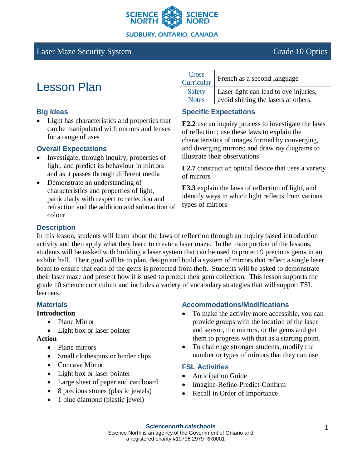

### **SUDBURY, ONTARIO, CANADA**

# Laser Maze Security System Grade 10 Optics

| <b>Lesson Plan</b>                                                                                                                                                                                                                                                                                                                                                                                                                                                                                        | Cross<br>Curricular                                                                                                                                                                                                                                                               | French as a second language                                                  |
|-----------------------------------------------------------------------------------------------------------------------------------------------------------------------------------------------------------------------------------------------------------------------------------------------------------------------------------------------------------------------------------------------------------------------------------------------------------------------------------------------------------|-----------------------------------------------------------------------------------------------------------------------------------------------------------------------------------------------------------------------------------------------------------------------------------|------------------------------------------------------------------------------|
|                                                                                                                                                                                                                                                                                                                                                                                                                                                                                                           | Safety<br><b>Notes</b>                                                                                                                                                                                                                                                            | Laser light can lead to eye injuries,<br>avoid shining the lasers at others. |
| <b>Big Ideas</b><br>Light has characteristics and properties that<br>can be manipulated with mirrors and lenses<br>for a range of uses<br><b>Overall Expectations</b><br>Investigate, through inquiry, properties of<br>light, and predict its behaviour in mirrors<br>and as it passes through different media<br>Demonstrate an understanding of<br>characteristics and properties of light,<br>particularly with respect to reflection and<br>refraction and the addition and subtraction of<br>colour | <b>Specific Expectations</b><br><b>E2.2</b> use an inquiry process to investigate the laws<br>of reflection; use these laws to explain the<br>characteristics of images formed by converging,<br>and diverging mirrors; and draw ray diagrams to<br>illustrate their observations |                                                                              |
|                                                                                                                                                                                                                                                                                                                                                                                                                                                                                                           | <b>E2.7</b> construct an optical device that uses a variety<br>of mirrors<br><b>E3.3</b> explain the laws of reflection of light, and<br>identify ways in which light reflects from various<br>types of mirrors                                                                   |                                                                              |

### **Description**

In this lesson, students will learn about the laws of reflection through an inquiry based introduction activity and then apply what they learn to create a laser maze. In the main portion of the lessons, students will be tasked with building a laser system that can be used to protect 9 precious gems in an exhibit hall. Their goal will be to plan, design and build a system of mirrors that reflect a single laser beam to ensure that each of the gems is protected from theft. Students will be asked to demonstrate their laser maze and present how it is used to protect their gem collection. This lesson supports the grade 10 science curriculum and includes a variety of vocabulary strategies that will support FSL learners.

| <b>Materials</b><br><b>Introduction</b><br><b>Plane Mirror</b><br>$\bullet$<br>Light box or laser pointer<br>$\bullet$<br><b>Action</b><br>Plane mirrors<br>$\bullet$<br>Small clothespins or binder clips<br>$\bullet$<br>Concave Mirror<br>$\bullet$<br>Light box or laser pointer<br>٠<br>Large sheet of paper and cardboard<br>$\bullet$<br>8 precious stones (plastic jewels)<br>$\bullet$<br>1 blue diamond (plastic jewel)<br>$\bullet$ | <b>Accommodations/Modifications</b><br>To make the activity more accessible, you can<br>provide groups with the location of the laser<br>and sensor, the mirrors, or the gems and get<br>them to progress with that as a starting point.<br>To challenge stronger students, modify the<br>$\bullet$<br>number or types of mirrors that they can use |  |
|------------------------------------------------------------------------------------------------------------------------------------------------------------------------------------------------------------------------------------------------------------------------------------------------------------------------------------------------------------------------------------------------------------------------------------------------|-----------------------------------------------------------------------------------------------------------------------------------------------------------------------------------------------------------------------------------------------------------------------------------------------------------------------------------------------------|--|
|                                                                                                                                                                                                                                                                                                                                                                                                                                                | <b>FSL Activities</b><br><b>Anticipation Guide</b><br>Imagine-Refine-Predict-Confirm<br>Recall in Order of Importance                                                                                                                                                                                                                               |  |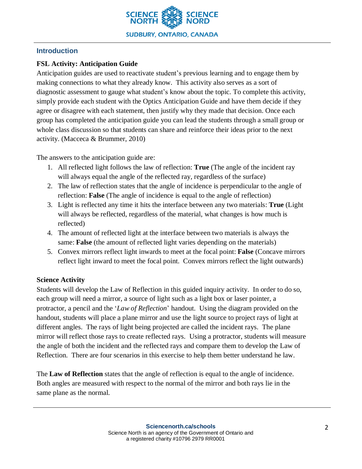

# **Introduction**

# **FSL Activity: Anticipation Guide**

Anticipation guides are used to reactivate student's previous learning and to engage them by making connections to what they already know. This activity also serves as a sort of diagnostic assessment to gauge what student's know about the topic. To complete this activity, simply provide each student with the Optics Anticipation Guide and have them decide if they agree or disagree with each statement, then justify why they made that decision. Once each group has completed the anticipation guide you can lead the students through a small group or whole class discussion so that students can share and reinforce their ideas prior to the next activity. (Macceca & Brummer, 2010)

The answers to the anticipation guide are:

- 1. All reflected light follows the law of reflection: **True** (The angle of the incident ray will always equal the angle of the reflected ray, regardless of the surface)
- 2. The law of reflection states that the angle of incidence is perpendicular to the angle of reflection: **False** (The angle of incidence is equal to the angle of reflection)
- 3. Light is reflected any time it hits the interface between any two materials: **True** (Light will always be reflected, regardless of the material, what changes is how much is reflected)
- 4. The amount of reflected light at the interface between two materials is always the same: **False** (the amount of reflected light varies depending on the materials)
- 5. Convex mirrors reflect light inwards to meet at the focal point: **False** (Concave mirrors reflect light inward to meet the focal point. Convex mirrors reflect the light outwards)

# **Science Activity**

Students will develop the Law of Reflection in this guided inquiry activity. In order to do so, each group will need a mirror, a source of light such as a light box or laser pointer, a protractor, a pencil and the '*Law of Reflection*' handout. Using the diagram provided on the handout, students will place a plane mirror and use the light source to project rays of light at different angles. The rays of light being projected are called the incident rays. The plane mirror will reflect those rays to create reflected rays. Using a protractor, students will measure the angle of both the incident and the reflected rays and compare them to develop the Law of Reflection. There are four scenarios in this exercise to help them better understand he law.

The **Law of Reflection** states that the angle of reflection is equal to the angle of incidence. Both angles are measured with respect to the normal of the mirror and both rays lie in the same plane as the normal.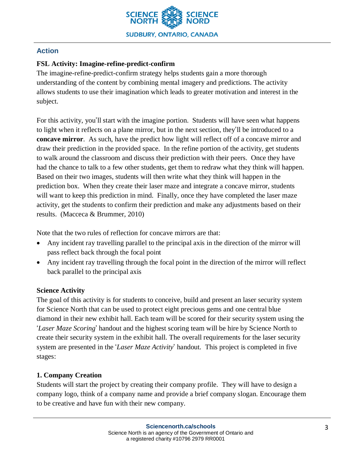

# **Action**

# **FSL Activity: Imagine-refine-predict-confirm**

The imagine-refine-predict-confirm strategy helps students gain a more thorough understanding of the content by combining mental imagery and predictions. The activity allows students to use their imagination which leads to greater motivation and interest in the subject.

For this activity, you'll start with the imagine portion. Students will have seen what happens to light when it reflects on a plane mirror, but in the next section, they'll be introduced to a **concave mirror**. As such, have the predict how light will reflect off of a concave mirror and draw their prediction in the provided space. In the refine portion of the activity, get students to walk around the classroom and discuss their prediction with their peers. Once they have had the chance to talk to a few other students, get them to redraw what they think will happen. Based on their two images, students will then write what they think will happen in the prediction box. When they create their laser maze and integrate a concave mirror, students will want to keep this prediction in mind. Finally, once they have completed the laser maze activity, get the students to confirm their prediction and make any adjustments based on their results. (Macceca & Brummer, 2010)

Note that the two rules of reflection for concave mirrors are that:

- Any incident ray travelling parallel to the principal axis in the direction of the mirror will pass reflect back through the focal point
- Any incident ray travelling through the focal point in the direction of the mirror will reflect back parallel to the principal axis

# **Science Activity**

The goal of this activity is for students to conceive, build and present an laser security system for Science North that can be used to protect eight precious gems and one central blue diamond in their new exhibit hall. Each team will be scored for their security system using the '*Laser Maze Scoring*' handout and the highest scoring team will be hire by Science North to create their security system in the exhibit hall. The overall requirements for the laser security system are presented in the '*Laser Maze Activity*' handout. This project is completed in five stages:

# **1. Company Creation**

Students will start the project by creating their company profile. They will have to design a company logo, think of a company name and provide a brief company slogan. Encourage them to be creative and have fun with their new company.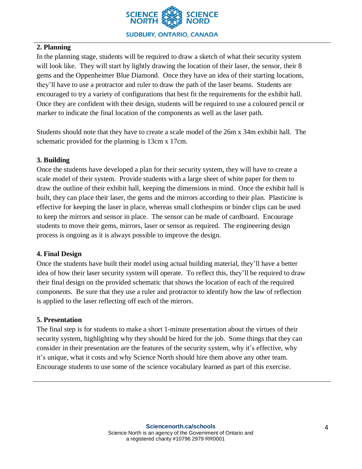

# **2. Planning**

In the planning stage, students will be required to draw a sketch of what their security system will look like. They will start by lightly drawing the location of their laser, the sensor, their 8 gems and the Oppenheimer Blue Diamond. Once they have an idea of their starting locations, they'll have to use a protractor and ruler to draw the path of the laser beams. Students are encouraged to try a variety of configurations that best fit the requirements for the exhibit hall. Once they are confident with their design, students will be required to use a coloured pencil or marker to indicate the final location of the components as well as the laser path.

Students should note that they have to create a scale model of the 26m x 34m exhibit hall. The schematic provided for the planning is 13cm x 17cm.

# **3. Building**

Once the students have developed a plan for their security system, they will have to create a scale model of their system. Provide students with a large sheet of white paper for them to draw the outline of their exhibit hall, keeping the dimensions in mind. Once the exhibit hall is built, they can place their laser, the gems and the mirrors according to their plan. Plasticine is effective for keeping the laser in place, whereas small clothespins or binder clips can be used to keep the mirrors and sensor in place. The sensor can be made of cardboard. Encourage students to move their gems, mirrors, laser or sensor as required. The engineering design process is ongoing as it is always possible to improve the design.

### **4. Final Design**

Once the students have built their model using actual building material, they'll have a better idea of how their laser security system will operate. To reflect this, they'll be required to draw their final design on the provided schematic that shows the location of each of the required components. Be sure that they use a ruler and protractor to identify how the law of reflection is applied to the laser reflecting off each of the mirrors.

### **5. Presentation**

The final step is for students to make a short 1-minute presentation about the virtues of their security system, highlighting why they should be hired for the job. Some things that they can consider in their presentation are the features of the security system, why it's effective, why it's unique, what it costs and why Science North should hire them above any other team. Encourage students to use some of the science vocabulary learned as part of this exercise.